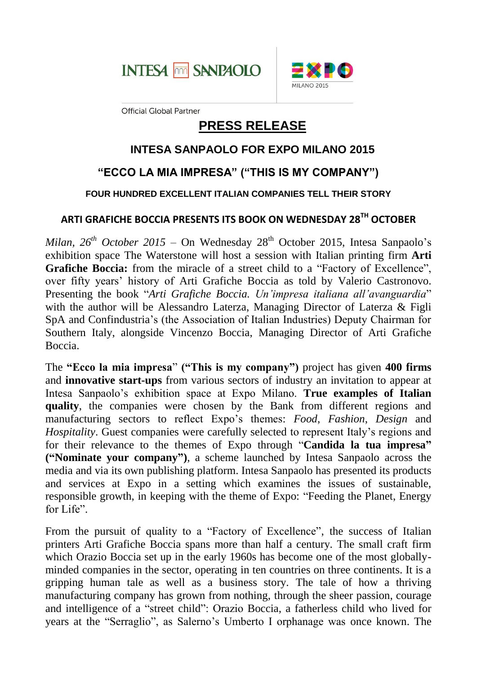



**Official Global Partner** 

# **PRESS RELEASE**

## **INTESA SANPAOLO FOR EXPO MILANO 2015**

# **"ECCO LA MIA IMPRESA" ("THIS IS MY COMPANY")**

#### **FOUR HUNDRED EXCELLENT ITALIAN COMPANIES TELL THEIR STORY**

### **ARTI GRAFICHE BOCCIA PRESENTS ITS BOOK ON WEDNESDAY 28TH OCTOBER**

*Milan,*  $26^{th}$  *October*  $2015$  – On Wednesday  $28^{th}$  October 2015, Intesa Sanpaolo's exhibition space The Waterstone will host a session with Italian printing firm **Arti Grafiche Boccia:** from the miracle of a street child to a "Factory of Excellence", over fifty years' history of Arti Grafiche Boccia as told by Valerio Castronovo. Presenting the book "*Arti Grafiche Boccia. Un'impresa italiana all'avanguardia*" with the author will be Alessandro Laterza, Managing Director of Laterza & Figli SpA and Confindustria's (the Association of Italian Industries) Deputy Chairman for Southern Italy, alongside Vincenzo Boccia, Managing Director of Arti Grafiche Boccia.

The **"Ecco la mia impresa**" **("This is my company")** project has given **400 firms**  and **innovative start-ups** from various sectors of industry an invitation to appear at Intesa Sanpaolo's exhibition space at Expo Milano. **True examples of Italian quality**, the companies were chosen by the Bank from different regions and manufacturing sectors to reflect Expo's themes: *Food*, *Fashion*, *Design* and *Hospitality*. Guest companies were carefully selected to represent Italy's regions and for their relevance to the themes of Expo through "**Candida la tua impresa" ("Nominate your company")**, a scheme launched by Intesa Sanpaolo across the media and via its own publishing platform. Intesa Sanpaolo has presented its products and services at Expo in a setting which examines the issues of sustainable, responsible growth, in keeping with the theme of Expo: "Feeding the Planet, Energy for Life".

From the pursuit of quality to a "Factory of Excellence", the success of Italian printers Arti Grafiche Boccia spans more than half a century. The small craft firm which Orazio Boccia set up in the early 1960s has become one of the most globallyminded companies in the sector, operating in ten countries on three continents. It is a gripping human tale as well as a business story. The tale of how a thriving manufacturing company has grown from nothing, through the sheer passion, courage and intelligence of a "street child": Orazio Boccia, a fatherless child who lived for years at the "Serraglio", as Salerno's Umberto I orphanage was once known. The